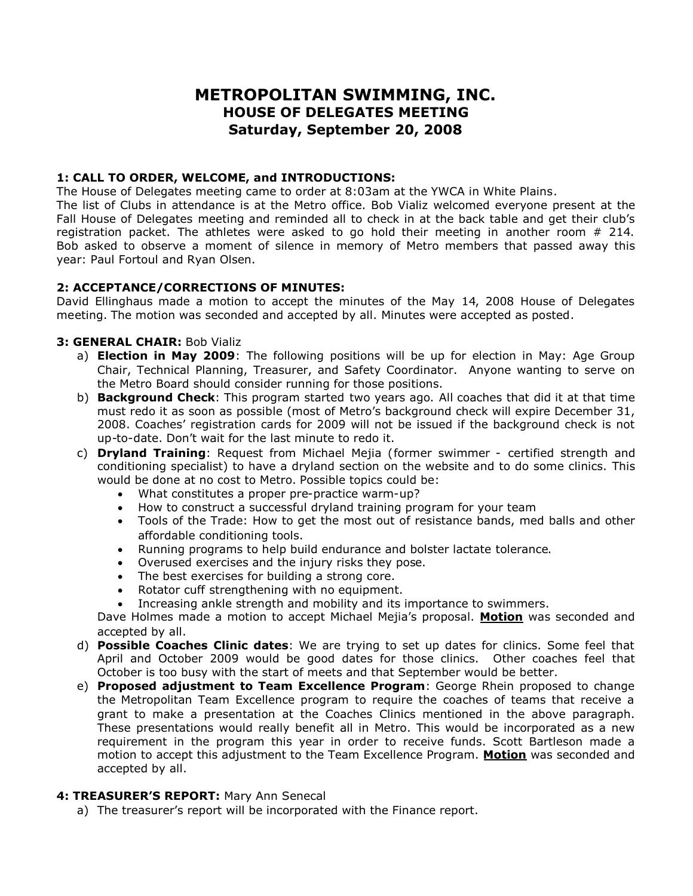# **METROPOLITAN SWIMMING, INC. HOUSE OF DELEGATES MEETING Saturday, September 20, 2008**

#### **1: CALL TO ORDER, WELCOME, and INTRODUCTIONS:**

The House of Delegates meeting came to order at 8:03am at the YWCA in White Plains.

The list of Clubs in attendance is at the Metro office. Bob Vializ welcomed everyone present at the Fall House of Delegates meeting and reminded all to check in at the back table and get their club's registration packet. The athletes were asked to go hold their meeting in another room # 214. Bob asked to observe a moment of silence in memory of Metro members that passed away this year: Paul Fortoul and Ryan Olsen.

# **2: ACCEPTANCE/CORRECTIONS OF MINUTES:**

David Ellinghaus made a motion to accept the minutes of the May 14, 2008 House of Delegates meeting. The motion was seconded and accepted by all. Minutes were accepted as posted.

# **3: GENERAL CHAIR:** Bob Vializ

- a) **Election in May 2009**: The following positions will be up for election in May: Age Group Chair, Technical Planning, Treasurer, and Safety Coordinator. Anyone wanting to serve on the Metro Board should consider running for those positions.
- b) **Background Check**: This program started two years ago. All coaches that did it at that time must redo it as soon as possible (most of Metro's background check will expire December 31, 2008. Coaches' registration cards for 2009 will not be issued if the background check is not up-to-date. Don't wait for the last minute to redo it.
- c) **Dryland Training**: Request from Michael Mejia (former swimmer certified strength and conditioning specialist) to have a dryland section on the website and to do some clinics. This would be done at no cost to Metro. Possible topics could be:
	- What constitutes a proper pre-practice warm-up?
	- How to construct a successful dryland training program for your team
	- Tools of the Trade: How to get the most out of resistance bands, med balls and other affordable conditioning tools.
	- Running programs to help build endurance and bolster lactate tolerance.
	- Overused exercises and the injury risks they pose.
	- The best exercises for building a strong core.
	- Rotator cuff strengthening with no equipment.
	- Increasing ankle strength and mobility and its importance to swimmers.

Dave Holmes made a motion to accept Michael Mejia's proposal. **Motion** was seconded and accepted by all.

- d) **Possible Coaches Clinic dates**: We are trying to set up dates for clinics. Some feel that April and October 2009 would be good dates for those clinics. Other coaches feel that October is too busy with the start of meets and that September would be better.
- e) **Proposed adjustment to Team Excellence Program**: George Rhein proposed to change the Metropolitan Team Excellence program to require the coaches of teams that receive a grant to make a presentation at the Coaches Clinics mentioned in the above paragraph. These presentations would really benefit all in Metro. This would be incorporated as a new requirement in the program this year in order to receive funds. Scott Bartleson made a motion to accept this adjustment to the Team Excellence Program. **Motion** was seconded and accepted by all.

#### **4: TREASURER'S REPORT:** Mary Ann Senecal

a) The treasurer's report will be incorporated with the Finance report.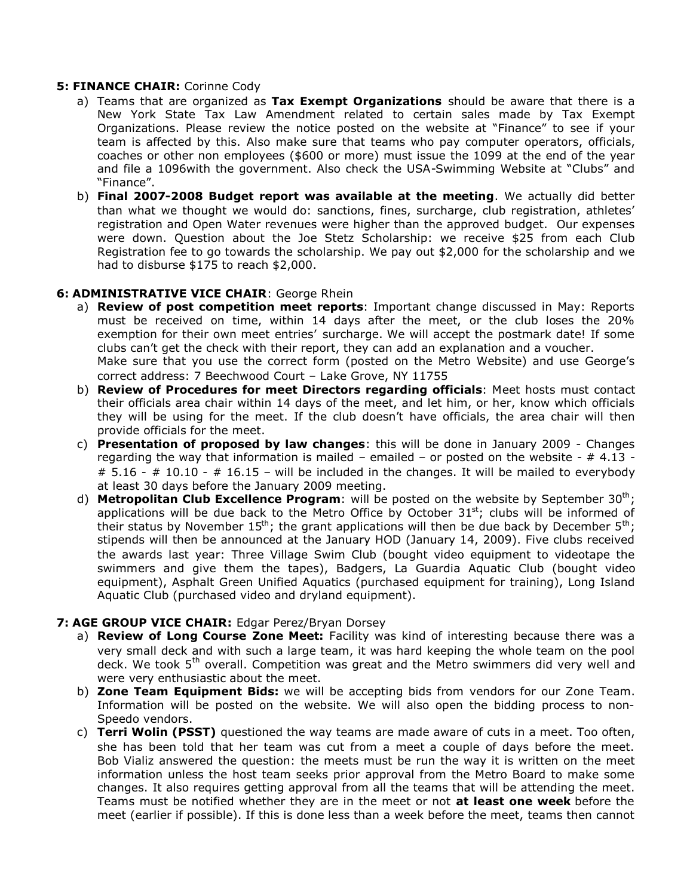#### **5: FINANCE CHAIR:** Corinne Cody

- a) Teams that are organized as **Tax Exempt Organizations** should be aware that there is a New York State Tax Law Amendment related to certain sales made by Tax Exempt Organizations. Please review the notice posted on the website at "Finance" to see if your team is affected by this. Also make sure that teams who pay computer operators, officials, coaches or other non employees (\$600 or more) must issue the 1099 at the end of the year and file a 1096with the government. Also check the USA-Swimming Website at "Clubs" and "Finance".
- b) **Final 2007-2008 Budget report was available at the meeting**. We actually did better than what we thought we would do: sanctions, fines, surcharge, club registration, athletes' registration and Open Water revenues were higher than the approved budget. Our expenses were down. Question about the Joe Stetz Scholarship: we receive \$25 from each Club Registration fee to go towards the scholarship. We pay out \$2,000 for the scholarship and we had to disburse \$175 to reach \$2,000.

#### **6: ADMINISTRATIVE VICE CHAIR**: George Rhein

- a) **Review of post competition meet reports**: Important change discussed in May: Reports must be received on time, within 14 days after the meet, or the club loses the 20% exemption for their own meet entries' surcharge. We will accept the postmark date! If some clubs can't get the check with their report, they can add an explanation and a voucher. Make sure that you use the correct form (posted on the Metro Website) and use George's correct address: 7 Beechwood Court – Lake Grove, NY 11755
- b) **Review of Procedures for meet Directors regarding officials**: Meet hosts must contact their officials area chair within 14 days of the meet, and let him, or her, know which officials they will be using for the meet. If the club doesn't have officials, the area chair will then provide officials for the meet.
- c) **Presentation of proposed by law changes**: this will be done in January 2009 Changes regarding the way that information is mailed – emailed – or posted on the website -  $\#$  4.13 - $\#$  5.16 -  $\#$  10.10 -  $\#$  16.15 – will be included in the changes. It will be mailed to everybody at least 30 days before the January 2009 meeting.
- d) **Metropolitan Club Excellence Program**: will be posted on the website by September 30<sup>th</sup>; applications will be due back to the Metro Office by October  $31<sup>st</sup>$ ; clubs will be informed of their status by November 15<sup>th</sup>; the grant applications will then be due back by December 5<sup>th</sup>; stipends will then be announced at the January HOD (January 14, 2009). Five clubs received the awards last year: Three Village Swim Club (bought video equipment to videotape the swimmers and give them the tapes), Badgers, La Guardia Aquatic Club (bought video equipment), Asphalt Green Unified Aquatics (purchased equipment for training), Long Island Aquatic Club (purchased video and dryland equipment).

#### **7: AGE GROUP VICE CHAIR:** Edgar Perez/Bryan Dorsey

- a) **Review of Long Course Zone Meet:** Facility was kind of interesting because there was a very small deck and with such a large team, it was hard keeping the whole team on the pool deck. We took 5<sup>th</sup> overall. Competition was great and the Metro swimmers did very well and were very enthusiastic about the meet.
- b) **Zone Team Equipment Bids:** we will be accepting bids from vendors for our Zone Team. Information will be posted on the website. We will also open the bidding process to non-Speedo vendors.
- c) **Terri Wolin (PSST)** questioned the way teams are made aware of cuts in a meet. Too often, she has been told that her team was cut from a meet a couple of days before the meet. Bob Vializ answered the question: the meets must be run the way it is written on the meet information unless the host team seeks prior approval from the Metro Board to make some changes. It also requires getting approval from all the teams that will be attending the meet. Teams must be notified whether they are in the meet or not **at least one week** before the meet (earlier if possible). If this is done less than a week before the meet, teams then cannot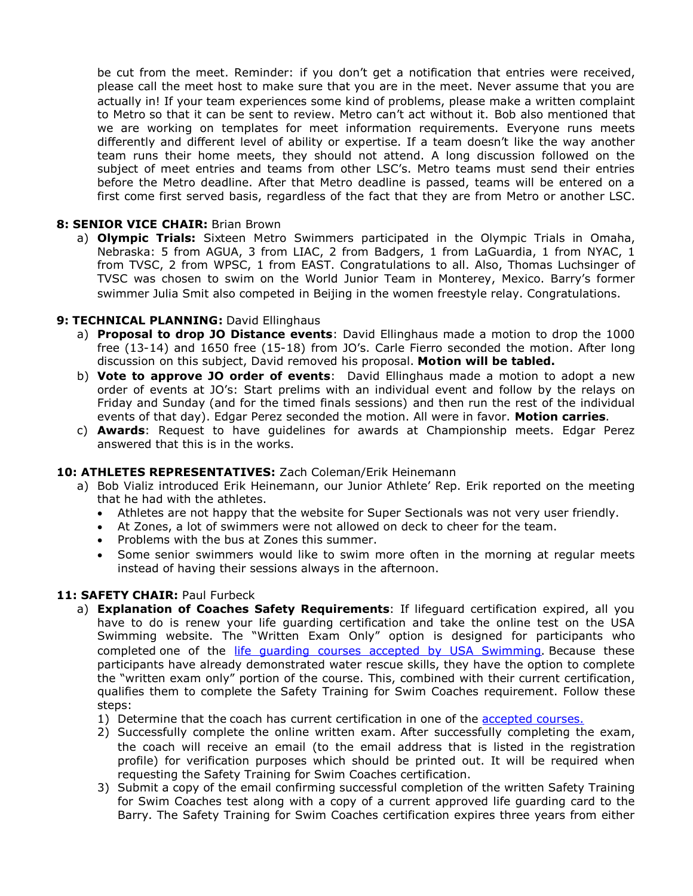be cut from the meet. Reminder: if you don't get a notification that entries were received, please call the meet host to make sure that you are in the meet. Never assume that you are actually in! If your team experiences some kind of problems, please make a written complaint to Metro so that it can be sent to review. Metro can't act without it. Bob also mentioned that we are working on templates for meet information requirements. Everyone runs meets differently and different level of ability or expertise. If a team doesn't like the way another team runs their home meets, they should not attend. A long discussion followed on the subject of meet entries and teams from other LSC's. Metro teams must send their entries before the Metro deadline. After that Metro deadline is passed, teams will be entered on a first come first served basis, regardless of the fact that they are from Metro or another LSC.

#### **8: SENIOR VICE CHAIR:** Brian Brown

a) **Olympic Trials:** Sixteen Metro Swimmers participated in the Olympic Trials in Omaha, Nebraska: 5 from AGUA, 3 from LIAC, 2 from Badgers, 1 from LaGuardia, 1 from NYAC, 1 from TVSC, 2 from WPSC, 1 from EAST. Congratulations to all. Also, Thomas Luchsinger of TVSC was chosen to swim on the World Junior Team in Monterey, Mexico. Barry's former swimmer Julia Smit also competed in Beijing in the women freestyle relay. Congratulations.

#### **9: TECHNICAL PLANNING:** David Ellinghaus

- a) **Proposal to drop JO Distance events**: David Ellinghaus made a motion to drop the 1000 free (13-14) and 1650 free (15-18) from JO's. Carle Fierro seconded the motion. After long discussion on this subject, David removed his proposal. **Motion will be tabled.**
- b) **Vote to approve JO order of events**: David Ellinghaus made a motion to adopt a new order of events at JO's: Start prelims with an individual event and follow by the relays on Friday and Sunday (and for the timed finals sessions) and then run the rest of the individual events of that day). Edgar Perez seconded the motion. All were in favor. **Motion carries**.
- c) **Awards**: Request to have guidelines for awards at Championship meets. Edgar Perez answered that this is in the works.

#### **10: ATHLETES REPRESENTATIVES:** Zach Coleman/Erik Heinemann

- a) Bob Vializ introduced Erik Heinemann, our Junior Athlete' Rep. Erik reported on the meeting that he had with the athletes.
	- Athletes are not happy that the website for Super Sectionals was not very user friendly.
	- At Zones, a lot of swimmers were not allowed on deck to cheer for the team.
	- Problems with the bus at Zones this summer.
	- Some senior swimmers would like to swim more often in the morning at regular meets instead of having their sessions always in the afternoon.

#### **11: SAFETY CHAIR:** Paul Furbeck

- a) **Explanation of Coaches Safety Requirements**: If lifeguard certification expired, all you have to do is renew your life guarding certification and take the online test on the USA Swimming website. The "Written Exam Only" option is designed for participants who completed one of the life quarding courses accepted by USA Swimming. Because these participants have already demonstrated water rescue skills, they have the option to complete the "written exam only" portion of the course. This, combined with their current certification, qualifies them to complete the Safety Training for Swim Coaches requirement. Follow these steps:
	- 1) Determine that the coach has current certification in one of the accepted courses.
	- 2) Successfully complete the online written exam. After successfully completing the exam, the coach will receive an email (to the email address that is listed in the registration profile) for verification purposes which should be printed out. It will be required when requesting the Safety Training for Swim Coaches certification.
	- 3) Submit a copy of the email confirming successful completion of the written Safety Training for Swim Coaches test along with a copy of a current approved life guarding card to the Barry. The Safety Training for Swim Coaches certification expires three years from either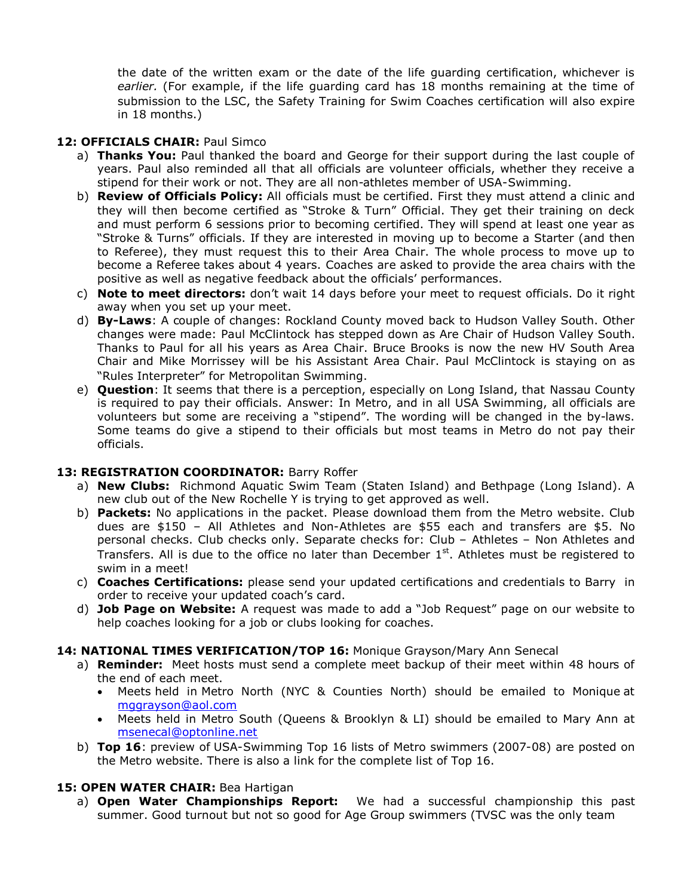the date of the written exam or the date of the life guarding certification, whichever is *earlier.* (For example, if the life guarding card has 18 months remaining at the time of submission to the LSC, the Safety Training for Swim Coaches certification will also expire in 18 months.)

# **12: OFFICIALS CHAIR:** Paul Simco

- a) **Thanks You:** Paul thanked the board and George for their support during the last couple of years. Paul also reminded all that all officials are volunteer officials, whether they receive a stipend for their work or not. They are all non-athletes member of USA-Swimming.
- b) **Review of Officials Policy:** All officials must be certified. First they must attend a clinic and they will then become certified as "Stroke & Turn" Official. They get their training on deck and must perform 6 sessions prior to becoming certified. They will spend at least one year as "Stroke & Turns" officials. If they are interested in moving up to become a Starter (and then to Referee), they must request this to their Area Chair. The whole process to move up to become a Referee takes about 4 years. Coaches are asked to provide the area chairs with the positive as well as negative feedback about the officials' performances.
- c) **Note to meet directors:** don't wait 14 days before your meet to request officials. Do it right away when you set up your meet.
- d) **By-Laws**: A couple of changes: Rockland County moved back to Hudson Valley South. Other changes were made: Paul McClintock has stepped down as Are Chair of Hudson Valley South. Thanks to Paul for all his years as Area Chair. Bruce Brooks is now the new HV South Area Chair and Mike Morrissey will be his Assistant Area Chair. Paul McClintock is staying on as "Rules Interpreter" for Metropolitan Swimming.
- e) **Question**: It seems that there is a perception, especially on Long Island, that Nassau County is required to pay their officials. Answer: In Metro, and in all USA Swimming, all officials are volunteers but some are receiving a "stipend". The wording will be changed in the by-laws. Some teams do give a stipend to their officials but most teams in Metro do not pay their officials.

#### **13: REGISTRATION COORDINATOR:** Barry Roffer

- a) **New Clubs:** Richmond Aquatic Swim Team (Staten Island) and Bethpage (Long Island). A new club out of the New Rochelle Y is trying to get approved as well.
- b) **Packets:** No applications in the packet. Please download them from the Metro website. Club dues are \$150 – All Athletes and Non-Athletes are \$55 each and transfers are \$5. No personal checks. Club checks only. Separate checks for: Club – Athletes – Non Athletes and Transfers. All is due to the office no later than December  $1<sup>st</sup>$ . Athletes must be registered to swim in a meet!
- c) **Coaches Certifications:** please send your updated certifications and credentials to Barry in order to receive your updated coach's card.
- d) **Job Page on Website:** A request was made to add a "Job Request" page on our website to help coaches looking for a job or clubs looking for coaches.

#### **14: NATIONAL TIMES VERIFICATION/TOP 16:** Monique Grayson/Mary Ann Senecal

- a) **Reminder:** Meet hosts must send a complete meet backup of their meet within 48 hours of the end of each meet.
	- Meets held in Metro North (NYC & Counties North) should be emailed to Monique at mggrayson@aol.com
	- Meets held in Metro South (Queens & Brooklyn & LI) should be emailed to Mary Ann at msenecal@optonline.net
- b) **Top 16**: preview of USA-Swimming Top 16 lists of Metro swimmers (2007-08) are posted on the Metro website. There is also a link for the complete list of Top 16.

# **15: OPEN WATER CHAIR:** Bea Hartigan

a) **Open Water Championships Report:** We had a successful championship this past summer. Good turnout but not so good for Age Group swimmers (TVSC was the only team